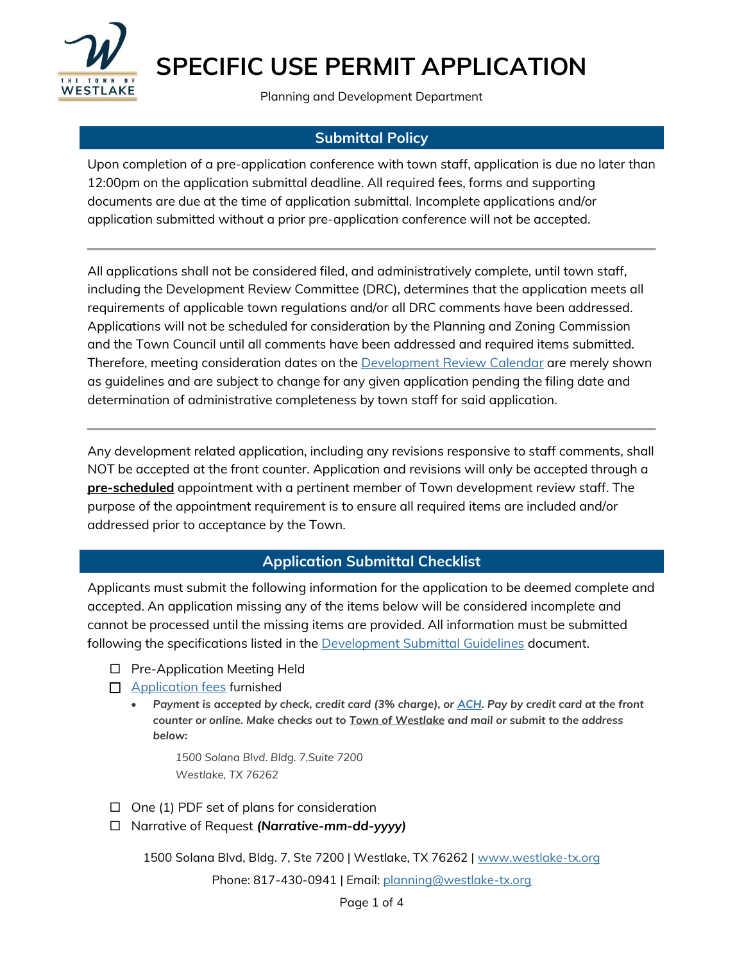

Planning and Development Department

### **Submittal Policy**

Upon completion of a pre-application conference with town staff, application is due no later than 12:00pm on the application submittal deadline. All required fees, forms and supporting documents are due at the time of application submittal. Incomplete applications and/or application submitted without a prior pre-application conference will not be accepted.

All applications shall not be considered filed, and administratively complete, until town staff, including the Development Review Committee (DRC), determines that the application meets all requirements of applicable town regulations and/or all DRC comments have been addressed. Applications will not be scheduled for consideration by the Planning and Zoning Commission and the Town Council until all comments have been addressed and required items submitted. Therefore, meeting consideration dates on the [Development Review Calendar](https://www.westlake-tx.org/DocumentCenter/View/1185/2019-Planning--Zoning-Submittal-Calendar) are merely shown as guidelines and are subject to change for any given application pending the filing date and determination of administrative completeness by town staff for said application.

Any development related application, including any revisions responsive to staff comments, shall NOT be accepted at the front counter. Application and revisions will only be accepted through a **pre-scheduled** appointment with a pertinent member of Town development review staff. The purpose of the appointment requirement is to ensure all required items are included and/or addressed prior to acceptance by the Town.

### **Application Submittal Checklist**

Applicants must submit the following information for the application to be deemed complete and accepted. An application missing any of the items below will be considered incomplete and cannot be processed until the missing items are provided. All information must be submitted following the specifications listed in the [Development Submittal Guidelines](http://westlake-tx.org/DocumentCenter/View/3081/Development-Submittal-Guidelines_08302019) document.

- □ Pre-Application Meeting Held
- **[Application fees](https://westlake-tx.org/DocumentCenter/View/4011) furnished** 
	- *Payment is accepted by check, credit card (3% charge), or [ACH.](https://westlake-tx.org/DocumentCenter/View/3808/ACH-One-Time-Payment-Form) Pay by credit card at the front counter or online. Make checks out to Town of Westlake and mail or submit to the address below:*

*1500 Solana Blvd. Bldg. 7,Suite 7200 Westlake, TX 76262*

- $\Box$  One (1) PDF set of plans for consideration
- Narrative of Request *(Narrative-mm-dd-yyyy)*

1500 Solana Blvd, Bldg. 7, Ste 7200 | Westlake, TX 76262 | [www.westlake-tx.org](http://www.westlake-tx.org/)

Phone: 817-430-0941 | Email: [planning@westlake-tx.org](mailto:planning@westlake-tx.org)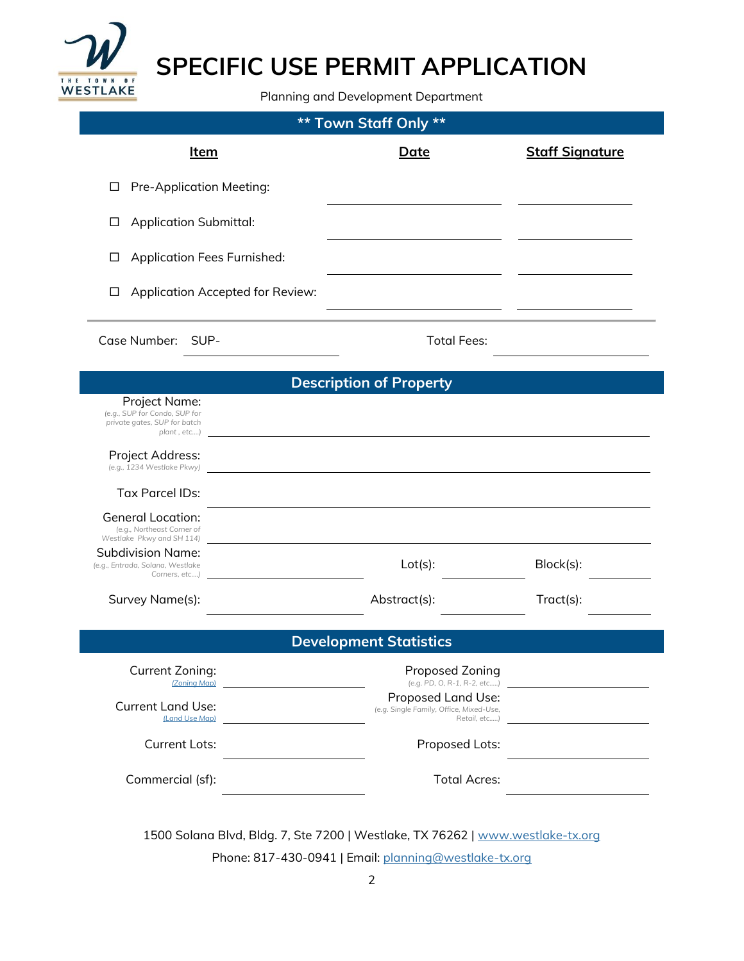

Planning and Development Department

| <b>** Town Staff Only **</b>                                                                               |                                                                               |                        |  |
|------------------------------------------------------------------------------------------------------------|-------------------------------------------------------------------------------|------------------------|--|
| <u>Item</u>                                                                                                | Date                                                                          | <b>Staff Signature</b> |  |
| Pre-Application Meeting:<br>□                                                                              |                                                                               |                        |  |
| <b>Application Submittal:</b><br>⊔                                                                         |                                                                               |                        |  |
| <b>Application Fees Furnished:</b><br>⊔                                                                    |                                                                               |                        |  |
| Application Accepted for Review:<br>□                                                                      |                                                                               |                        |  |
| Case Number: SUP-                                                                                          | <b>Total Fees:</b>                                                            |                        |  |
| <b>Description of Property</b>                                                                             |                                                                               |                        |  |
| Project Name:<br>(e.g., SUP for Condo, SUP for<br>private gates, SUP for batch<br>plant, etc)              |                                                                               |                        |  |
| Project Address:<br>(e.g., 1234 Westlake Pkwy)                                                             |                                                                               |                        |  |
| <b>Tax Parcel IDs:</b>                                                                                     |                                                                               |                        |  |
| <b>General Location:</b><br>(e.g., Northeast Corner of                                                     |                                                                               |                        |  |
| Westlake Pkwy and SH 114)<br><b>Subdivision Name:</b><br>(e.g., Entrada, Solana, Westlake<br>Corners, etc) | $Lot(s)$ :                                                                    | Block(s):              |  |
| Survey Name(s):                                                                                            | Abstract(s):                                                                  | Tract(s):              |  |
| <b>Development Statistics</b>                                                                              |                                                                               |                        |  |
| Current Zoning:<br>(Zoning Map)                                                                            | Proposed Zoning<br>(e.g. PD, O, R-1, R-2, etc)                                |                        |  |
| <b>Current Land Use:</b><br>(Land Use Map)                                                                 | Proposed Land Use:<br>(e.g. Single Family, Office, Mixed-Use,<br>Retail. etc) |                        |  |
| <b>Current Lots:</b>                                                                                       | Proposed Lots:                                                                |                        |  |
| Commercial (sf):                                                                                           | <b>Total Acres:</b>                                                           |                        |  |
|                                                                                                            |                                                                               |                        |  |

1500 Solana Blvd, Bldg. 7, Ste 7200 | Westlake, TX 76262 | [www.westlake-tx.org](http://www.westlake-tx.org/) Phone: 817-430-0941 | Email: [planning@westlake-tx.org](mailto:planning@westlake-tx.org)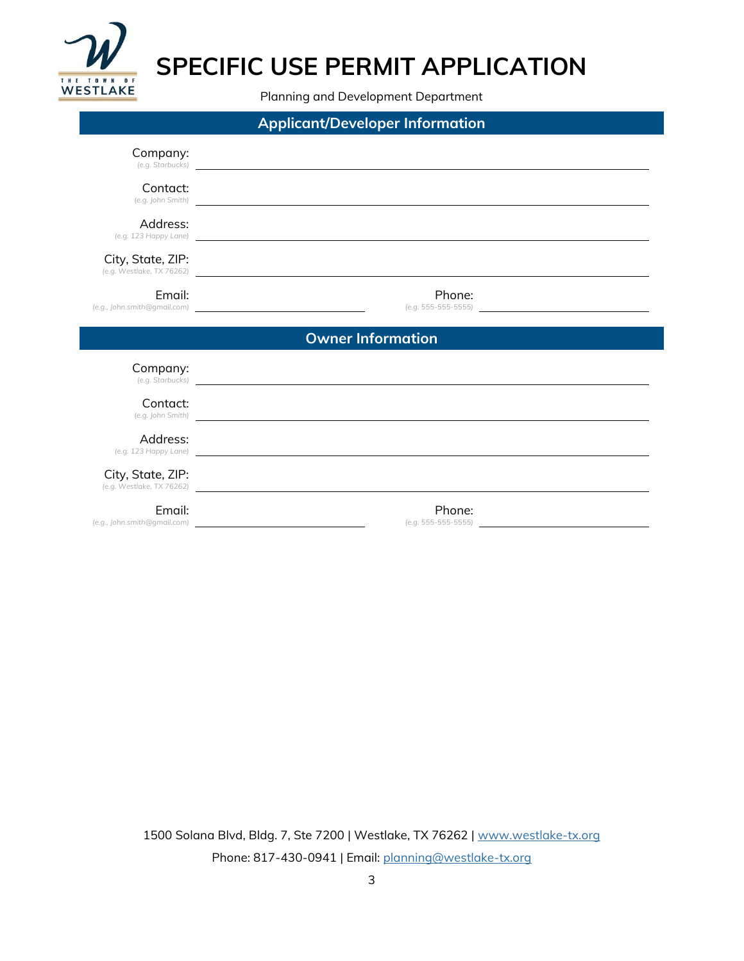

Planning and Development Department

| <b>Applicant/Developer Information</b> |                                                                                                                                                                                                                                                    |
|----------------------------------------|----------------------------------------------------------------------------------------------------------------------------------------------------------------------------------------------------------------------------------------------------|
| Company:                               | (e.g. Starbucks) <b>contract and the contract of the contract of the contract of the contract of the contract of the contract of the contract of the contract of the contract of the contract of the contract of the contract of</b>               |
| Contact:                               | (e.g. John Smith)                                                                                                                                                                                                                                  |
| Address:                               | (e.g. 123 Happy Lane) and the control of the control of the control of the control of the control of the control of the control of the control of the control of the control of the control of the control of the control of t                     |
| City, State, ZIP:                      | (e.g. Westlake, TX 76262)                                                                                                                                                                                                                          |
| Email:                                 | Phone:                                                                                                                                                                                                                                             |
|                                        | <b>Owner Information</b>                                                                                                                                                                                                                           |
|                                        |                                                                                                                                                                                                                                                    |
| Company:                               |                                                                                                                                                                                                                                                    |
| Contact:                               | (e.g. Starbucks)<br>(e.g. John Smith) and the control of the control of the control of the control of the control of the control of the control of the control of the control of the control of the control of the control of the control of the c |
| Address:                               | (e.g. 123 Happy Lane)                                                                                                                                                                                                                              |
| City, State, ZIP:                      | (e.g. Westlake, TX 76262)                                                                                                                                                                                                                          |

1500 Solana Blvd, Bldg. 7, Ste 7200 | Westlake, TX 76262 | [www.westlake-tx.org](http://www.westlake-tx.org/) Phone: 817-430-0941 | Email: [planning@westlake-tx.org](mailto:planning@westlake-tx.org)